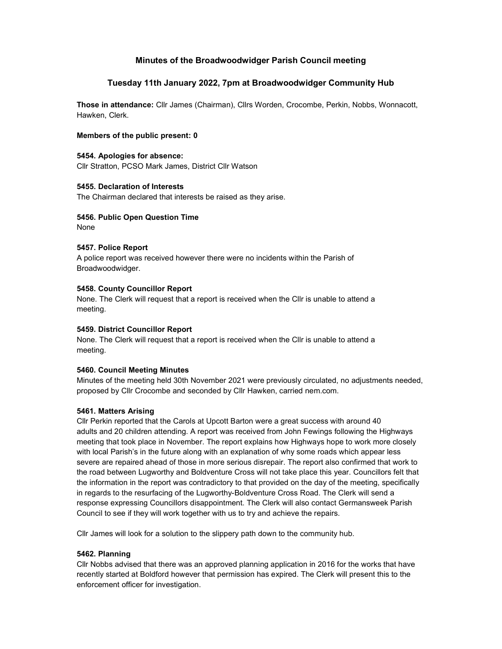# Minutes of the Broadwoodwidger Parish Council meeting

# Tuesday 11th January 2022, 7pm at Broadwoodwidger Community Hub

Those in attendance: Cllr James (Chairman), Cllrs Worden, Crocombe, Perkin, Nobbs, Wonnacott, Hawken, Clerk.

#### Members of the public present: 0

# 5454. Apologies for absence:

Cllr Stratton, PCSO Mark James, District Cllr Watson

#### 5455. Declaration of Interests

The Chairman declared that interests be raised as they arise.

### 5456. Public Open Question Time

None

### 5457. Police Report

A police report was received however there were no incidents within the Parish of Broadwoodwidger.

# 5458. County Councillor Report

None. The Clerk will request that a report is received when the Cllr is unable to attend a meeting.

### 5459. District Councillor Report

None. The Clerk will request that a report is received when the Cllr is unable to attend a meeting.

#### 5460. Council Meeting Minutes

Minutes of the meeting held 30th November 2021 were previously circulated, no adjustments needed, proposed by Cllr Crocombe and seconded by Cllr Hawken, carried nem.com.

#### 5461. Matters Arising

Cllr Perkin reported that the Carols at Upcott Barton were a great success with around 40 adults and 20 children attending. A report was received from John Fewings following the Highways meeting that took place in November. The report explains how Highways hope to work more closely with local Parish's in the future along with an explanation of why some roads which appear less severe are repaired ahead of those in more serious disrepair. The report also confirmed that work to the road between Lugworthy and Boldventure Cross will not take place this year. Councillors felt that the information in the report was contradictory to that provided on the day of the meeting, specifically in regards to the resurfacing of the Lugworthy-Boldventure Cross Road. The Clerk will send a response expressing Councillors disappointment. The Clerk will also contact Germansweek Parish Council to see if they will work together with us to try and achieve the repairs.

Cllr James will look for a solution to the slippery path down to the community hub.

#### 5462. Planning

Cllr Nobbs advised that there was an approved planning application in 2016 for the works that have recently started at Boldford however that permission has expired. The Clerk will present this to the enforcement officer for investigation.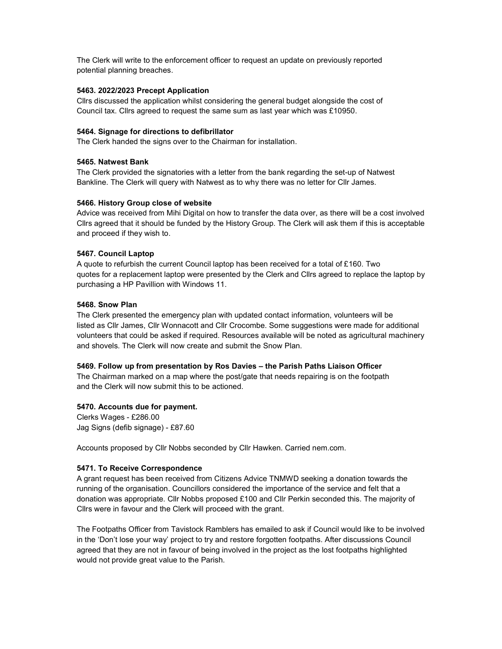The Clerk will write to the enforcement officer to request an update on previously reported potential planning breaches.

# 5463. 2022/2023 Precept Application

Cllrs discussed the application whilst considering the general budget alongside the cost of Council tax. Cllrs agreed to request the same sum as last year which was £10950.

#### 5464. Signage for directions to defibrillator

The Clerk handed the signs over to the Chairman for installation.

### 5465. Natwest Bank

The Clerk provided the signatories with a letter from the bank regarding the set-up of Natwest Bankline. The Clerk will query with Natwest as to why there was no letter for Cllr James.

### 5466. History Group close of website

Advice was received from Mihi Digital on how to transfer the data over, as there will be a cost involved Cllrs agreed that it should be funded by the History Group. The Clerk will ask them if this is acceptable and proceed if they wish to.

### 5467. Council Laptop

A quote to refurbish the current Council laptop has been received for a total of £160. Two quotes for a replacement laptop were presented by the Clerk and Cllrs agreed to replace the laptop by purchasing a HP Pavillion with Windows 11.

### 5468. Snow Plan

The Clerk presented the emergency plan with updated contact information, volunteers will be listed as Cllr James, Cllr Wonnacott and Cllr Crocombe. Some suggestions were made for additional volunteers that could be asked if required. Resources available will be noted as agricultural machinery and shovels. The Clerk will now create and submit the Snow Plan.

#### 5469. Follow up from presentation by Ros Davies – the Parish Paths Liaison Officer

The Chairman marked on a map where the post/gate that needs repairing is on the footpath and the Clerk will now submit this to be actioned.

# 5470. Accounts due for payment.

Clerks Wages - £286.00 Jag Signs (defib signage) - £87.60

Accounts proposed by Cllr Nobbs seconded by Cllr Hawken. Carried nem.com.

#### 5471. To Receive Correspondence

A grant request has been received from Citizens Advice TNMWD seeking a donation towards the running of the organisation. Councillors considered the importance of the service and felt that a donation was appropriate. Cllr Nobbs proposed £100 and Cllr Perkin seconded this. The majority of Cllrs were in favour and the Clerk will proceed with the grant.

The Footpaths Officer from Tavistock Ramblers has emailed to ask if Council would like to be involved in the 'Don't lose your way' project to try and restore forgotten footpaths. After discussions Council agreed that they are not in favour of being involved in the project as the lost footpaths highlighted would not provide great value to the Parish.